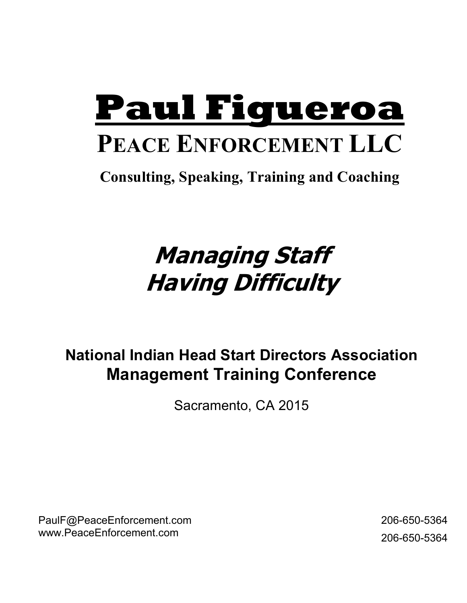# **Paul Figueroa**

# **PEACE ENFORCEMENT LLC**

**Consulting, Speaking, Training and Coaching** 

# **Managing Staff Having Difficulty**

### **National Indian Head Start Directors Association Management Training Conference**

Sacramento, CA 2015

PaulF@PeaceEnforcement.com www.PeaceEnforcement.com

 206-650-5364 206-650-5364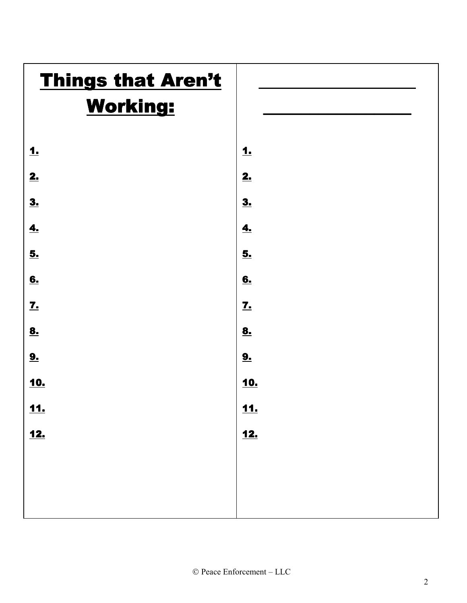# **Things that Aren't**

### Working:

| 1.                         |  |  |
|----------------------------|--|--|
| 2.                         |  |  |
| <u>3.</u>                  |  |  |
| $\underline{\mathbf{4}}$ . |  |  |
| <u>5.</u>                  |  |  |
| 6.                         |  |  |
| $\mathbf{Z}$               |  |  |
| <u>8.</u>                  |  |  |
| 9.                         |  |  |
| <u>10.</u>                 |  |  |
| <u>11.</u>                 |  |  |
| <u>12.</u>                 |  |  |
|                            |  |  |
|                            |  |  |



 $\frac{1}{2}$  ,  $\frac{1}{2}$  ,  $\frac{1}{2}$  ,  $\frac{1}{2}$  ,  $\frac{1}{2}$  ,  $\frac{1}{2}$  ,  $\frac{1}{2}$  ,  $\frac{1}{2}$  ,  $\frac{1}{2}$  ,  $\frac{1}{2}$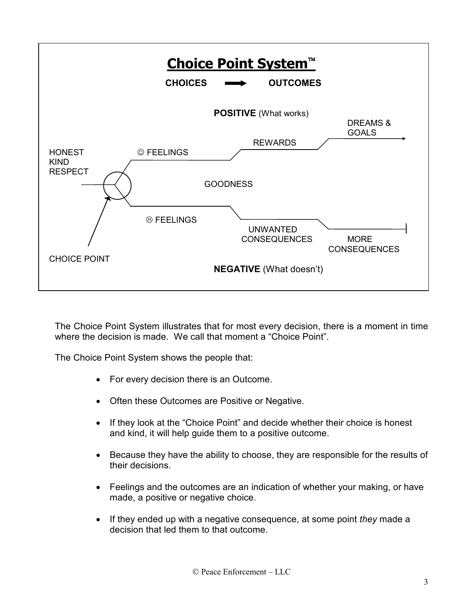

The Choice Point System illustrates that for most every decision, there is a moment in time where the decision is made. We call that moment a "Choice Point".

The Choice Point System shows the people that:

- For every decision there is an Outcome.
- Often these Outcomes are Positive or Negative.
- If they look at the "Choice Point" and decide whether their choice is honest and kind, it will help guide them to a positive outcome.
- Because they have the ability to choose, they are responsible for the results of their decisions.
- Feelings and the outcomes are an indication of whether your making, or have made, a positive or negative choice.
- If they ended up with a negative consequence, at some point *they* made a decision that led them to that outcome.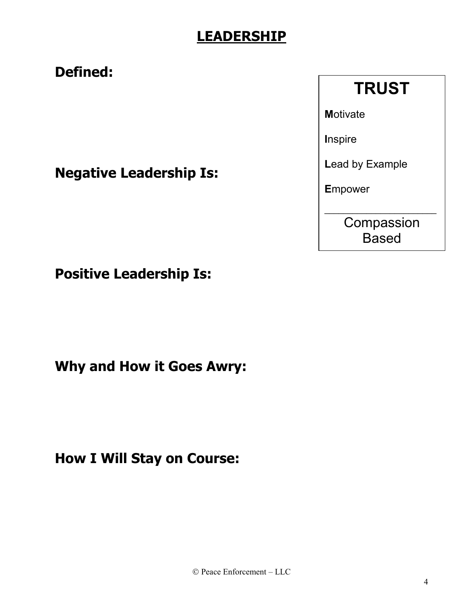### **LEADERSHIP**

### **Defined:**

**TRUST** 

**Motivate** 

**Inspire** 

Lead by Example

**Empower** 

Compassion **Based** 

**Negative Leadership Is:** 

**Positive Leadership Is:** 

**Why and How it Goes Awry:** 

**How I Will Stay on Course:**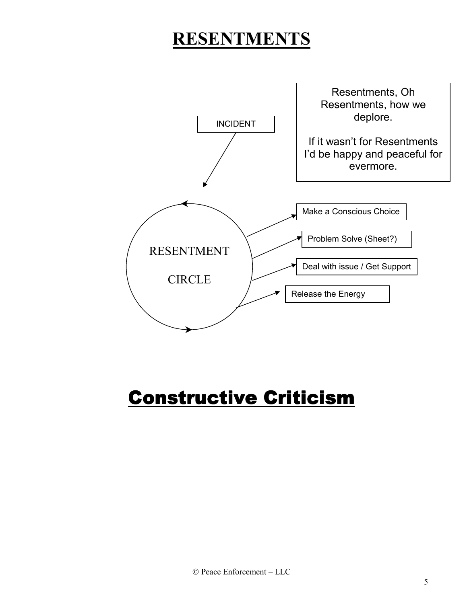### **RESENTMENTS**



# Constructive Criticism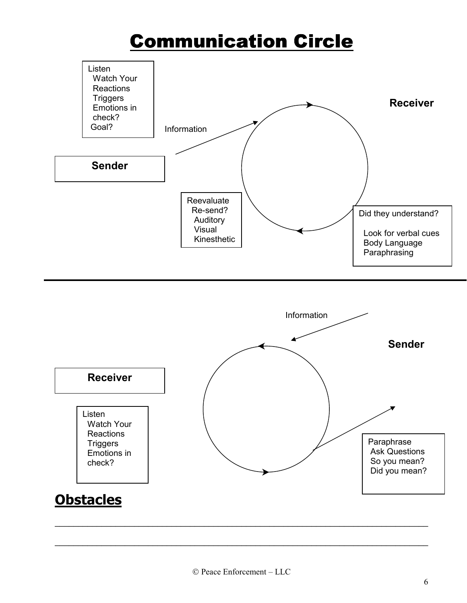# Communication Circle





\_\_\_\_\_\_\_\_\_\_\_\_\_\_\_\_\_\_\_\_\_\_\_\_\_\_\_\_\_\_\_\_\_\_\_\_\_\_\_\_\_\_\_\_\_\_\_\_\_\_\_\_\_\_\_\_\_\_\_\_\_\_\_\_\_\_\_\_\_\_\_\_\_\_\_\_\_\_\_\_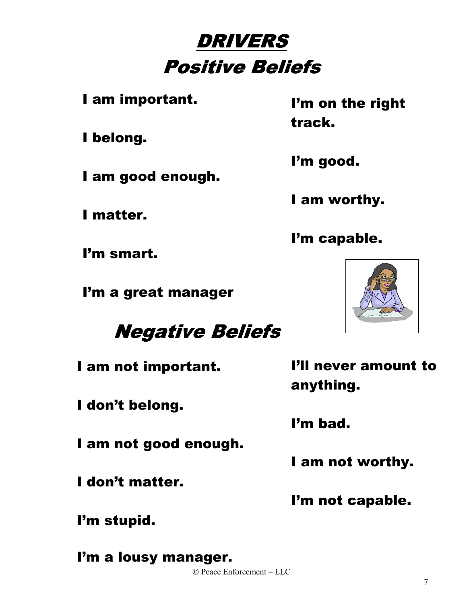# **DRIVERS** Positive Beliefs

I am important.

I belong.

I am good enough.

I matter.

I'm smart.

I'm a great manager

**Negative Beliefs** 

I am not important.

I don't belong.

I am not good enough.

I don't matter.

I'm stupid.

 Peace Enforcement – LLC I'm a lousy manager.

I'm on the right track.

I'm good.

I am worthy.

I'm capable.



I'll never amount to anything.

I'm bad.

I am not worthy.

I'm not capable.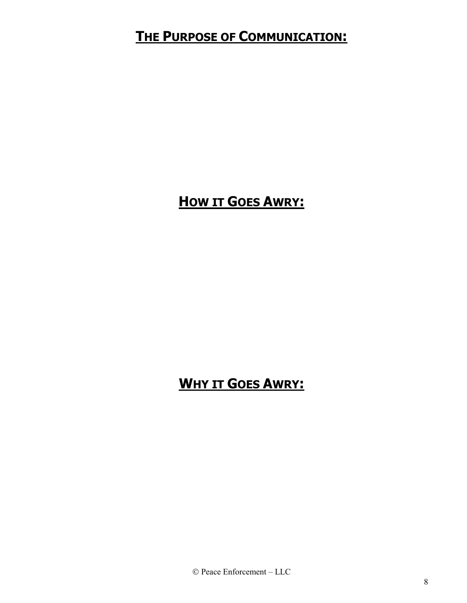### **THE PURPOSE OF COMMUNICATION:**

### **HOW IT GOES AWRY:**

### **WHY IT GOES AWRY:**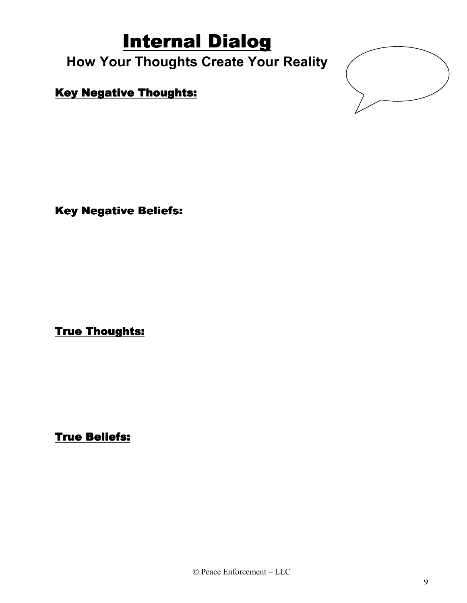# Internal Dialog

### **How Your Thoughts Create Your Reality**

#### **Key Negative Thoughts:**



**Key Negative Beliefs:** 

**True Thoughts:** 

**True Beliefs:**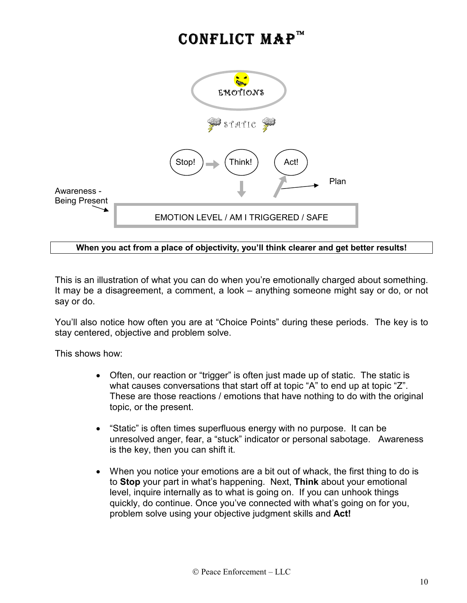### CONFLICT MAP



#### **When you act from a place of objectivity, you'll think clearer and get better results!**

This is an illustration of what you can do when you're emotionally charged about something. It may be a disagreement, a comment, a look – anything someone might say or do, or not say or do.

You'll also notice how often you are at "Choice Points" during these periods. The key is to stay centered, objective and problem solve.

This shows how:

- Often, our reaction or "trigger" is often just made up of static. The static is what causes conversations that start off at topic "A" to end up at topic "Z". These are those reactions / emotions that have nothing to do with the original topic, or the present.
- "Static" is often times superfluous energy with no purpose. It can be unresolved anger, fear, a "stuck" indicator or personal sabotage. Awareness is the key, then you can shift it.
- When you notice your emotions are a bit out of whack, the first thing to do is to **Stop** your part in what's happening. Next, **Think** about your emotional level, inquire internally as to what is going on. If you can unhook things quickly, do continue. Once you've connected with what's going on for you, problem solve using your objective judgment skills and **Act!**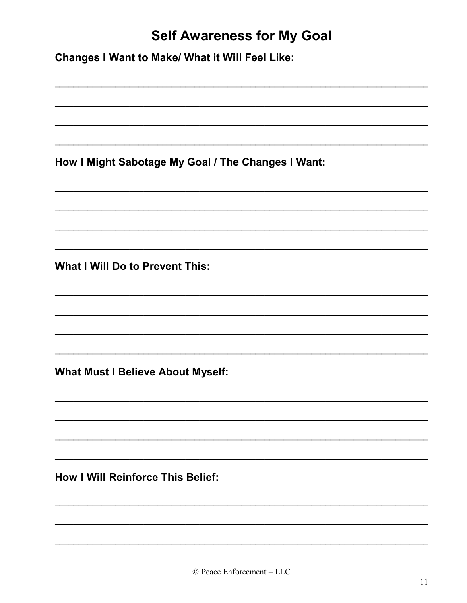### **Self Awareness for My Goal**

**Changes I Want to Make/ What it Will Feel Like:** 

How I Might Sabotage My Goal / The Changes I Want:

**What I Will Do to Prevent This:** 

**What Must I Believe About Myself:** 

**How I Will Reinforce This Belief:**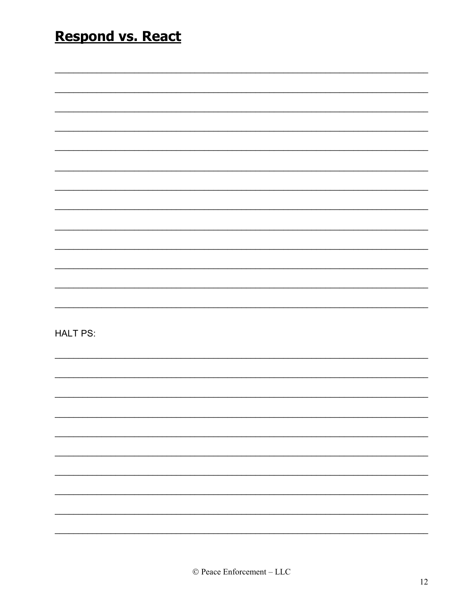| <b>Respond vs. React</b> |  |  |  |  |
|--------------------------|--|--|--|--|
|                          |  |  |  |  |
|                          |  |  |  |  |
|                          |  |  |  |  |
|                          |  |  |  |  |
|                          |  |  |  |  |
|                          |  |  |  |  |
|                          |  |  |  |  |
|                          |  |  |  |  |
|                          |  |  |  |  |
|                          |  |  |  |  |
|                          |  |  |  |  |
|                          |  |  |  |  |
| <b>HALT PS:</b>          |  |  |  |  |
|                          |  |  |  |  |
|                          |  |  |  |  |
|                          |  |  |  |  |
|                          |  |  |  |  |
|                          |  |  |  |  |
|                          |  |  |  |  |
|                          |  |  |  |  |
|                          |  |  |  |  |
|                          |  |  |  |  |
|                          |  |  |  |  |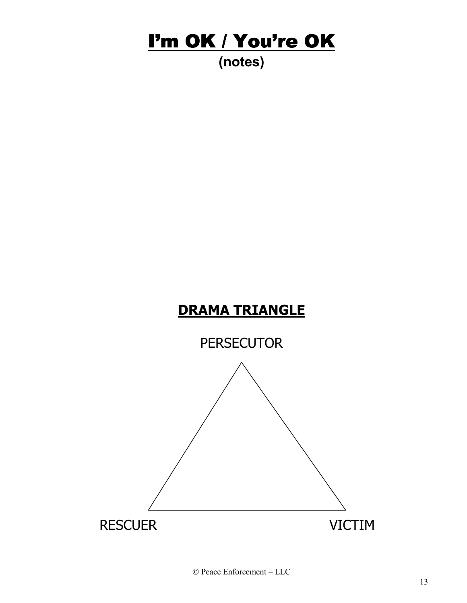# I'm OK / You're OK

### **(notes)**

### **DRAMA TRIANGLE**

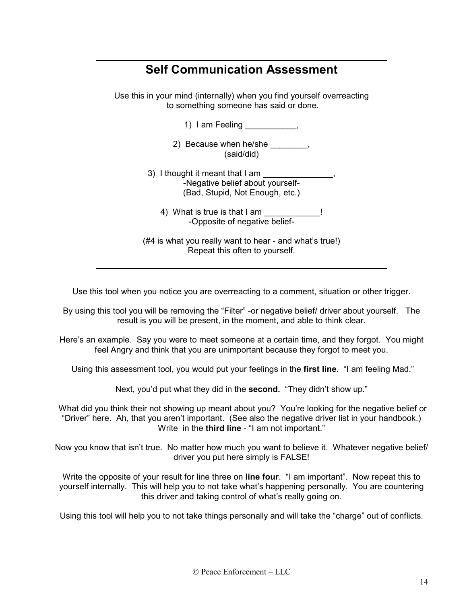

Use this tool when you notice you are overreacting to a comment, situation or other trigger.

By using this tool you will be removing the "Filter" -or negative belief/ driver about yourself. The result is you will be present, in the moment, and able to think clear.

Here's an example. Say you were to meet someone at a certain time, and they forgot. You might feel Angry and think that you are unimportant because they forgot to meet you.

Using this assessment tool, you would put your feelings in the **first line**. "I am feeling Mad."

Next, you'd put what they did in the **second.** "They didn't show up."

 What did you think their not showing up meant about you? You're looking for the negative belief or "Driver" here. Ah, that you aren't important. (See also the negative driver list in your handbook.) Write in the **third line** - "I am not important."

Now you know that isn't true. No matter how much you want to believe it. Whatever negative belief/ driver you put here simply is FALSE!

Write the opposite of your result for line three on **line four**. "I am important". Now repeat this to yourself internally. This will help you to not take what's happening personally. You are countering this driver and taking control of what's really going on.

Using this tool will help you to not take things personally and will take the "charge" out of conflicts.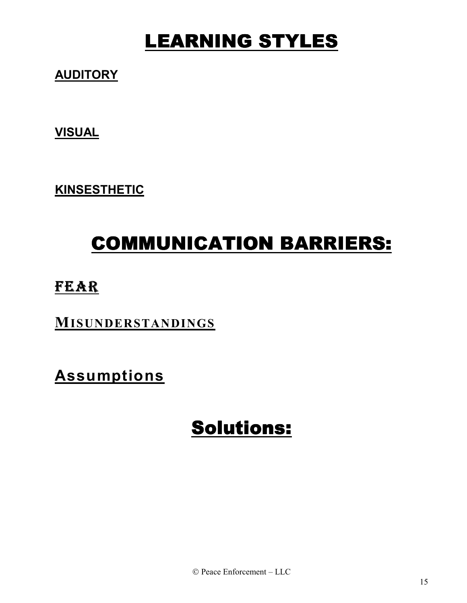# LEARNING STYLES

### **AUDITORY**

**VISUAL**

**KINSESTHETIC**

# COMMUNICATION BARRIERS: COMMUNICATION BARRIERS:

### FEAR

**MISUNDERSTANDINGS**

**Assumptions**

# Solutions: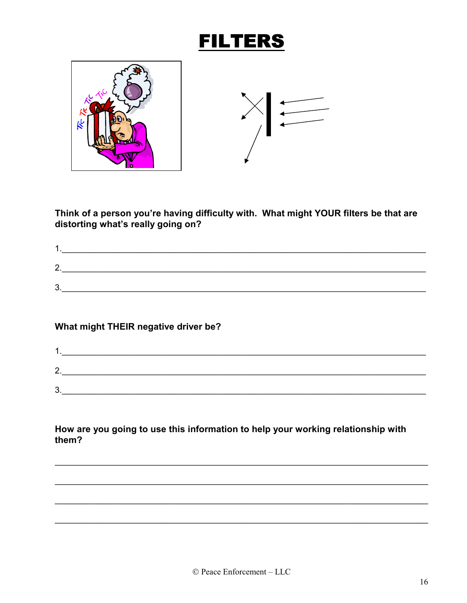### **FILTERS**



Think of a person you're having difficulty with. What might YOUR filters be that are distorting what's really going on?

| ⌒<br><u>.</u> |  |
|---------------|--|
|               |  |
| ◠<br>ັ        |  |

#### What might THEIR negative driver be?

| ◠        |  |
|----------|--|
| <u>.</u> |  |
| ິ<br>ັ   |  |

How are you going to use this information to help your working relationship with them?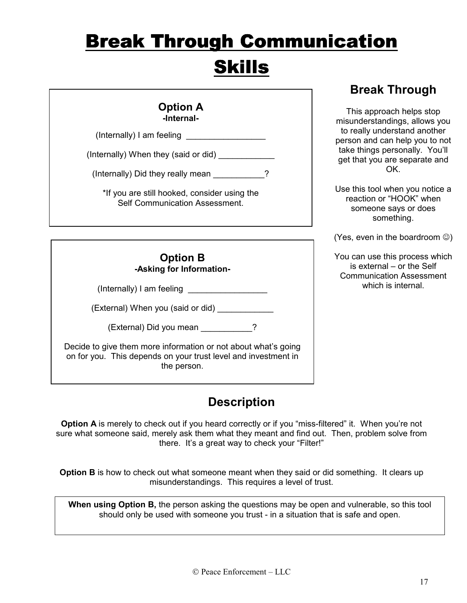# **Break Through Communication Skills**

|                                                                                                                                                                                                                                                                                     | <b>Break Through</b>                                                                                                                                                                                                                                                                                      |
|-------------------------------------------------------------------------------------------------------------------------------------------------------------------------------------------------------------------------------------------------------------------------------------|-----------------------------------------------------------------------------------------------------------------------------------------------------------------------------------------------------------------------------------------------------------------------------------------------------------|
| <b>Option A</b><br>-Internal-<br>$($ Internally $)$ I am feeling $\qquad \qquad$<br>(Internally) When they (said or did) ____________<br>(Internally) Did they really mean _________?<br>*If you are still hooked, consider using the<br><b>Self Communication Assessment.</b>      | This approach helps stop<br>misunderstandings, allows you<br>to really understand another<br>person and can help you to not<br>take things personally. You'll<br>get that you are separate and<br>OK.<br>Use this tool when you notice a<br>reaction or "HOOK" when<br>someone says or does<br>something. |
|                                                                                                                                                                                                                                                                                     | (Yes, even in the boardroom $\circledcirc$ )                                                                                                                                                                                                                                                              |
| <b>Option B</b><br>-Asking for Information-<br>(External) When you (said or did) ________<br>(External) Did you mean __________?<br>Decide to give them more information or not about what's going<br>on for you. This depends on your trust level and investment in<br>the person. | You can use this process which<br>is external - or the Self<br><b>Communication Assessment</b><br>which is internal.                                                                                                                                                                                      |

#### **Description**

**Option A** is merely to check out if you heard correctly or if you "miss-filtered" it. When you're not sure what someone said, merely ask them what they meant and find out. Then, problem solve from there. It's a great way to check your "Filter!"

**Option B** is how to check out what someone meant when they said or did something. It clears up misunderstandings. This requires a level of trust.

**When using Option B,** the person asking the questions may be open and vulnerable, so this tool should only be used with someone you trust - in a situation that is safe and open.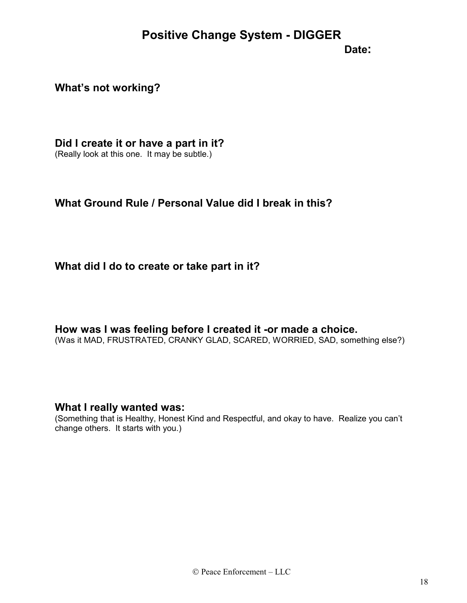#### **Positive Change System - DIGGER**

#### **Date:**  $\qquad \qquad \text{Date:}$

#### **What's not working?**

**Did I create it or have a part in it?** 

(Really look at this one. It may be subtle.)

#### **What Ground Rule / Personal Value did I break in this?**

#### **What did I do to create or take part in it?**

**How was I was feeling before I created it -or made a choice.** 

(Was it MAD, FRUSTRATED, CRANKY GLAD, SCARED, WORRIED, SAD, something else?)

#### **What I really wanted was:**

(Something that is Healthy, Honest Kind and Respectful, and okay to have. Realize you can't change others. It starts with you.)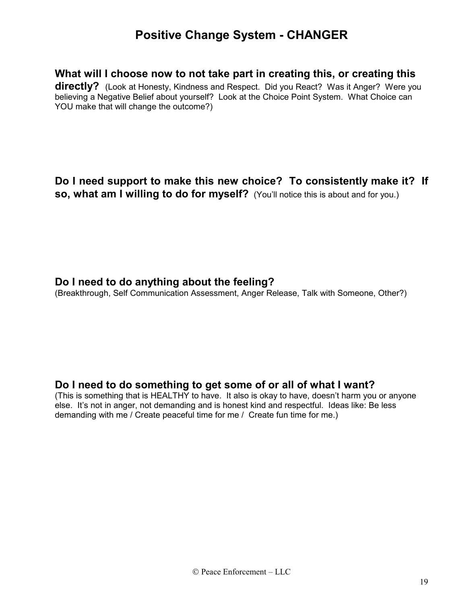#### **Positive Change System - CHANGER**

#### **What will I choose now to not take part in creating this, or creating this**

**directly?** (Look at Honesty, Kindness and Respect. Did you React? Was it Anger? Were you believing a Negative Belief about yourself? Look at the Choice Point System. What Choice can YOU make that will change the outcome?)

#### **Do I need support to make this new choice? To consistently make it? If so, what am I willing to do for myself?** (You'll notice this is about and for you.)

#### **Do I need to do anything about the feeling?**

(Breakthrough, Self Communication Assessment, Anger Release, Talk with Someone, Other?)

#### **Do I need to do something to get some of or all of what I want?**

(This is something that is HEALTHY to have. It also is okay to have, doesn't harm you or anyone else. It's not in anger, not demanding and is honest kind and respectful. Ideas like: Be less demanding with me / Create peaceful time for me / Create fun time for me.)